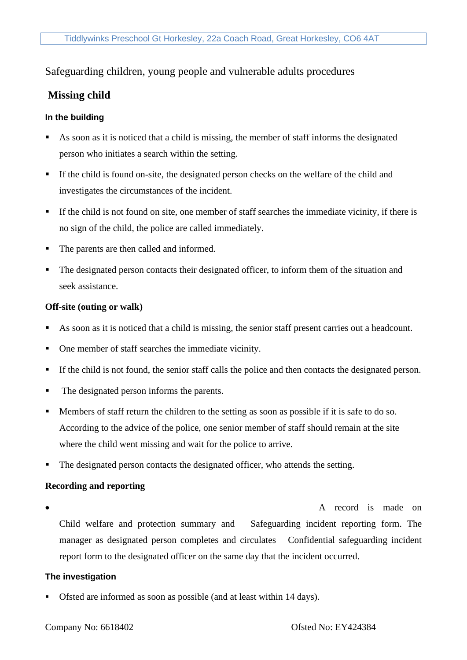## Safeguarding children, young people and vulnerable adults procedures

# **Missing child**

## **In the building**

- As soon as it is noticed that a child is missing, the member of staff informs the designated person who initiates a search within the setting.
- If the child is found on-site, the designated person checks on the welfare of the child and investigates the circumstances of the incident.
- **If the child is not found on site, one member of staff searches the immediate vicinity, if there is** no sign of the child, the police are called immediately.
- The parents are then called and informed.
- The designated person contacts their designated officer, to inform them of the situation and seek assistance.

#### **Off-site (outing or walk)**

- As soon as it is noticed that a child is missing, the senior staff present carries out a headcount.
- One member of staff searches the immediate vicinity.
- If the child is not found, the senior staff calls the police and then contacts the designated person.
- The designated person informs the parents.
- Members of staff return the children to the setting as soon as possible if it is safe to do so. According to the advice of the police, one senior member of staff should remain at the site where the child went missing and wait for the police to arrive.
- **•** The designated person contacts the designated officer, who attends the setting.

## **Recording and reporting**

• A record is made on Child welfare and protection summary and Safeguarding incident reporting form. The manager as designated person completes and circulates Confidential safeguarding incident report form to the designated officer on the same day that the incident occurred.

## **The investigation**

Ofsted are informed as soon as possible (and at least within 14 days).